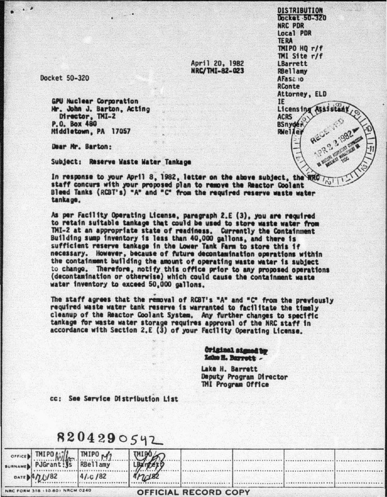April 20, 1982 NRC/TMI-82-023

Docket 50-320

**GPU Nuclear Corporation** Mr. John J. Barton, Actino Director, TMI-2 P.O. Box 480 Middletown, PA 17057

Dear Mr. Barton:

Subject: Reserve Waste Water Tankage

In response to your April 8, 1982, letter on the above subject, the RRC staff concurs with your proposed plan to remove the Reactor Coolant Bleed Tanks (RCBT's) "A" and "C" from the regulred reserve waste water tankage.

As per Facility Operating License, paragraph 2.E (3), you are required to retain suitable tankage that could be used to store waste water from TMI-2 at an appropriate state of readiness. Currently the Containment Building sump inventory is less than 40,000 gallons, and there is sufficient reserve tankage in the Lower Tank Farm to store this if necessary. However, because of future decontamination operations within the containment building the amount of operating waste water is subject to change. Therefore, notify this office prior to any proposed operations (decontamination or otherwise) which could cause the containment waste water inventory to exceed 50,000 gallons.

The staff agrees that the removal of RCBT's "A" and "C" from the previously required waste water tank reserve is warranted to facilitate the timely cleanup of the Reactor Coolant System. Any further changes to specific tankage for waste water storage requires approval of the NRC staff in accordance with Section 2.E (3) of your Facility Operating License.

**OFFICIAL RECORD COPY** 

**Original signed by** Lake H. Barrott -

Lake H. Barrett Deputy Program Director **TMI Program Office** 

cc: See Service Distribution List

| 8204290542 |  |                            |  |  |
|------------|--|----------------------------|--|--|
|            |  |                            |  |  |
|            |  | TMIPO MILE TMIPO M2 HAPPER |  |  |

 $4/10/82$ 

 $4$ nder

 $^{\circ}$ **BURN** 

 $1/82$ NRC FORM 318 : 10.80) NRCM 0240

**DISTRIBUTION** Docket 50-320 NRC PDR **Local PDR TERA** TMIPO HO r/f TMI Site r/f LBarrett **RRellamv** AFASC 10 RConte Attorney, ELD IF. Licensing Assistant **ACRS BSnydér** RWeller